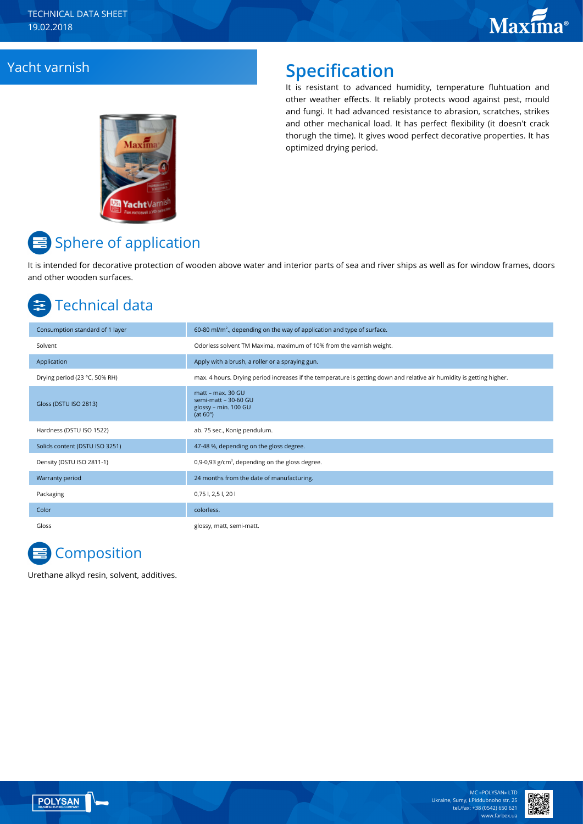# **Yacht varnish Specification**

It is resistant to advanced humidity, temperature fluhtuation and other weather effects. It reliably protects wood against pest, mould and fungi. It had advanced resistance to abrasion, scratches, strikes and other mechanical load. It has perfect flexibility (it doesn't crack thorugh the time). It gives wood perfect decorative properties. It has optimized drying period.



# Sphere of application

It is intended for decorative protection of wooden above water and interior parts of sea and river ships as well as for window frames, doors and other wooden surfaces.

# Technical data

| Consumption standard of 1 layer | 60-80 ml/m <sup>2</sup> ., depending on the way of application and type of surface.                                   |
|---------------------------------|-----------------------------------------------------------------------------------------------------------------------|
| Solvent                         | Odorless solvent TM Maxima, maximum of 10% from the varnish weight.                                                   |
| Application                     | Apply with a brush, a roller or a spraying gun.                                                                       |
| Drying period (23 °C, 50% RH)   | max. 4 hours. Drying period increases if the temperature is getting down and relative air humidity is getting higher. |
| Gloss (DSTU ISO 2813)           | matt - max. 30 GU<br>semi-matt - 30-60 GU<br>glossy - min. 100 GU<br>(at $60^\circ$ )                                 |
| Hardness (DSTU ISO 1522)        | ab. 75 sec., Konig pendulum.                                                                                          |
| Solids content (DSTU ISO 3251)  | 47-48 %, depending on the gloss degree.                                                                               |
| Density (DSTU ISO 2811-1)       | 0,9-0,93 $g/cm3$ , depending on the gloss degree.                                                                     |
| Warranty period                 | 24 months from the date of manufacturing.                                                                             |
| Packaging                       | 0,75 l, 2,5 l, 20 l                                                                                                   |
| Color                           | colorless.                                                                                                            |
| Gloss                           | glossy, matt, semi-matt.                                                                                              |

# **E** Composition

Urethane alkyd resin, solvent, additives.